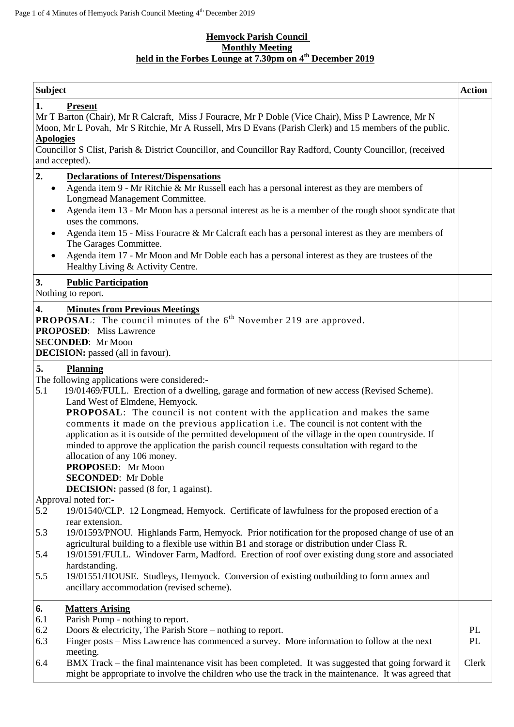### **Hemyock Parish Council Monthly Meeting held in the Forbes Lounge at 7.30pm on 4 th December 2019**

| <b>Subject</b>                                                                                                                                                                                                                                                                                                                                                                                                                                                                                                                                                                                                                                                                                                        | <b>Action</b> |
|-----------------------------------------------------------------------------------------------------------------------------------------------------------------------------------------------------------------------------------------------------------------------------------------------------------------------------------------------------------------------------------------------------------------------------------------------------------------------------------------------------------------------------------------------------------------------------------------------------------------------------------------------------------------------------------------------------------------------|---------------|
| 1.<br><b>Present</b><br>Mr T Barton (Chair), Mr R Calcraft, Miss J Fouracre, Mr P Doble (Vice Chair), Miss P Lawrence, Mr N<br>Moon, Mr L Povah, Mr S Ritchie, Mr A Russell, Mrs D Evans (Parish Clerk) and 15 members of the public.<br><b>Apologies</b><br>Councillor S Clist, Parish & District Councillor, and Councillor Ray Radford, County Councillor, (received<br>and accepted).                                                                                                                                                                                                                                                                                                                             |               |
| 2.<br><b>Declarations of Interest/Dispensations</b>                                                                                                                                                                                                                                                                                                                                                                                                                                                                                                                                                                                                                                                                   |               |
| Agenda item 9 - Mr Ritchie & Mr Russell each has a personal interest as they are members of<br>$\bullet$<br>Longmead Management Committee.<br>Agenda item 13 - Mr Moon has a personal interest as he is a member of the rough shoot syndicate that<br>$\bullet$<br>uses the commons.<br>Agenda item 15 - Miss Fouracre & Mr Calcraft each has a personal interest as they are members of<br>The Garages Committee.<br>Agenda item 17 - Mr Moon and Mr Doble each has a personal interest as they are trustees of the<br>Healthy Living & Activity Centre.                                                                                                                                                             |               |
| 3.<br><b>Public Participation</b><br>Nothing to report.                                                                                                                                                                                                                                                                                                                                                                                                                                                                                                                                                                                                                                                               |               |
| <b>Minutes from Previous Meetings</b><br>4.<br><b>PROPOSAL:</b> The council minutes of the $6th$ November 219 are approved.<br><b>PROPOSED:</b> Miss Lawrence<br><b>SECONDED:</b> Mr Moon<br><b>DECISION:</b> passed (all in favour).                                                                                                                                                                                                                                                                                                                                                                                                                                                                                 |               |
| 5.<br><b>Planning</b>                                                                                                                                                                                                                                                                                                                                                                                                                                                                                                                                                                                                                                                                                                 |               |
| The following applications were considered:-<br>5.1<br>19/01469/FULL. Erection of a dwelling, garage and formation of new access (Revised Scheme).<br>Land West of Elmdene, Hemyock.<br><b>PROPOSAL:</b> The council is not content with the application and makes the same<br>comments it made on the previous application i.e. The council is not content with the<br>application as it is outside of the permitted development of the village in the open countryside. If<br>minded to approve the application the parish council requests consultation with regard to the<br>allocation of any 106 money.<br><b>PROPOSED:</b> Mr Moon<br><b>SECONDED:</b> Mr Doble<br><b>DECISION:</b> passed (8 for, 1 against). |               |
| Approval noted for:-                                                                                                                                                                                                                                                                                                                                                                                                                                                                                                                                                                                                                                                                                                  |               |
| 5.2<br>19/01540/CLP. 12 Longmead, Hemyock. Certificate of lawfulness for the proposed erection of a<br>rear extension.<br>19/01593/PNOU. Highlands Farm, Hemyock. Prior notification for the proposed change of use of an<br>5.3<br>agricultural building to a flexible use within B1 and storage or distribution under Class R.                                                                                                                                                                                                                                                                                                                                                                                      |               |
| 19/01591/FULL. Windover Farm, Madford. Erection of roof over existing dung store and associated<br>5.4<br>hardstanding.                                                                                                                                                                                                                                                                                                                                                                                                                                                                                                                                                                                               |               |
| 19/01551/HOUSE. Studleys, Hemyock. Conversion of existing outbuilding to form annex and<br>5.5<br>ancillary accommodation (revised scheme).                                                                                                                                                                                                                                                                                                                                                                                                                                                                                                                                                                           |               |
| 6.<br><b>Matters Arising</b>                                                                                                                                                                                                                                                                                                                                                                                                                                                                                                                                                                                                                                                                                          |               |
| Parish Pump - nothing to report.<br>6.1<br>6.2<br>Doors $\&$ electricity, The Parish Store – nothing to report.                                                                                                                                                                                                                                                                                                                                                                                                                                                                                                                                                                                                       | PL            |
| 6.3<br>Finger posts - Miss Lawrence has commenced a survey. More information to follow at the next                                                                                                                                                                                                                                                                                                                                                                                                                                                                                                                                                                                                                    | <b>PL</b>     |
| meeting.<br>BMX Track – the final maintenance visit has been completed. It was suggested that going forward it<br>6.4<br>might be appropriate to involve the children who use the track in the maintenance. It was agreed that                                                                                                                                                                                                                                                                                                                                                                                                                                                                                        | Clerk         |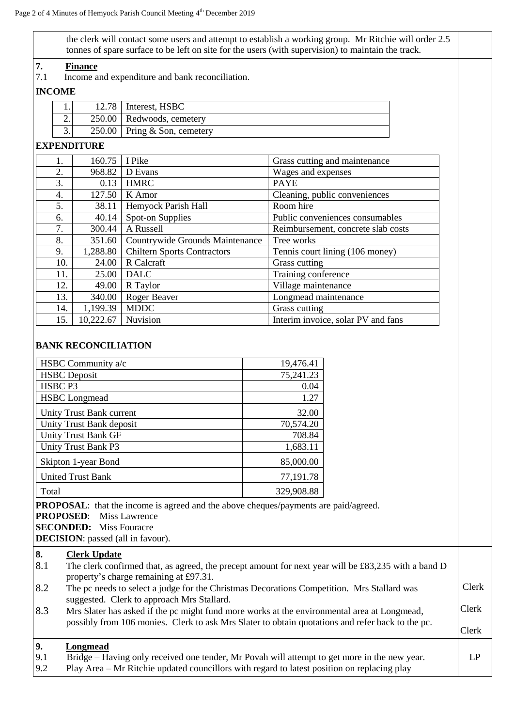the clerk will contact some users and attempt to establish a working group. Mr Ritchie will order 2.5 tonnes of spare surface to be left on site for the users (with supervision) to maintain the track.

# **7. Finance**<br>**7.1 Income a**

Income and expenditure and bank reconciliation.

## **INCOME**

|     | 12.78 | Interest, HSBC                 |  |
|-----|-------|--------------------------------|--|
| ـ ت |       | 250.00   Redwoods, cemetery    |  |
| J.  |       | $250.00$ Pring & Son, cemetery |  |

### **EXPENDITURE**

|     | 160.75    | I Pike                             | Grass cutting and maintenance      |
|-----|-----------|------------------------------------|------------------------------------|
| 2.  | 968.82    | D Evans                            | Wages and expenses                 |
| 3.  | 0.13      | <b>HMRC</b>                        | <b>PAYE</b>                        |
| 4.  | 127.50    | K Amor                             | Cleaning, public conveniences      |
| 5.  | 38.11     | Hemyock Parish Hall                | Room hire                          |
| 6.  | 40.14     | Spot-on Supplies                   | Public conveniences consumables    |
| 7.  | 300.44    | A Russell                          | Reimbursement, concrete slab costs |
| 8.  | 351.60    | Countrywide Grounds Maintenance    | Tree works                         |
| 9.  | 1,288.80  | <b>Chiltern Sports Contractors</b> | Tennis court lining (106 money)    |
| 10. | 24.00     | R Calcraft                         | Grass cutting                      |
| 11. | 25.00     | <b>DALC</b>                        | Training conference                |
| 12. | 49.00     | R Taylor                           | Village maintenance                |
| 13. | 340.00    | Roger Beaver                       | Longmead maintenance               |
| 14. | 1,199.39  | <b>MDDC</b>                        | Grass cutting                      |
| 15. | 10,222.67 | Nuvision                           | Interim invoice, solar PV and fans |

# **BANK RECONCILIATION**

| HSBC Community a/c         | 19,476.41  |
|----------------------------|------------|
| <b>HSBC</b> Deposit        | 75,241.23  |
| HSBC <sub>P3</sub>         | 0.04       |
| <b>HSBC</b> Longmead       | 1.27       |
| Unity Trust Bank current   | 32.00      |
| Unity Trust Bank deposit   | 70,574.20  |
| <b>Unity Trust Bank GF</b> | 708.84     |
| <b>Unity Trust Bank P3</b> | 1,683.11   |
| Skipton 1-year Bond        | 85,000.00  |
| <b>United Trust Bank</b>   | 77,191.78  |
| Total                      | 329,908.88 |

**PROPOSAL**: that the income is agreed and the above cheques/payments are paid/agreed.

**PROPOSED**: Miss Lawrence

**SECONDED:** Miss Fouracre

**DECISION**: passed (all in favour).

| 8.  | <b>Clerk Update</b>                                                                                                                                                                             |       |
|-----|-------------------------------------------------------------------------------------------------------------------------------------------------------------------------------------------------|-------|
| 8.1 | The clerk confirmed that, as agreed, the precept amount for next year will be £83,235 with a band D<br>property's charge remaining at £97.31.                                                   |       |
| 8.2 | The pc needs to select a judge for the Christmas Decorations Competition. Mrs Stallard was<br>suggested. Clerk to approach Mrs Stallard.                                                        | Clerk |
| 8.3 | Mrs Slater has asked if the pc might fund more works at the environmental area at Longmead,<br>possibly from 106 monies. Clerk to ask Mrs Slater to obtain quotations and refer back to the pc. | Clerk |
|     |                                                                                                                                                                                                 | Clerk |
| 9.  | Longmead                                                                                                                                                                                        |       |
| 9.1 | Bridge – Having only received one tender, Mr Povah will attempt to get more in the new year.                                                                                                    | LP    |
| 9.2 | Play Area – Mr Ritchie updated councillors with regard to latest position on replacing play                                                                                                     |       |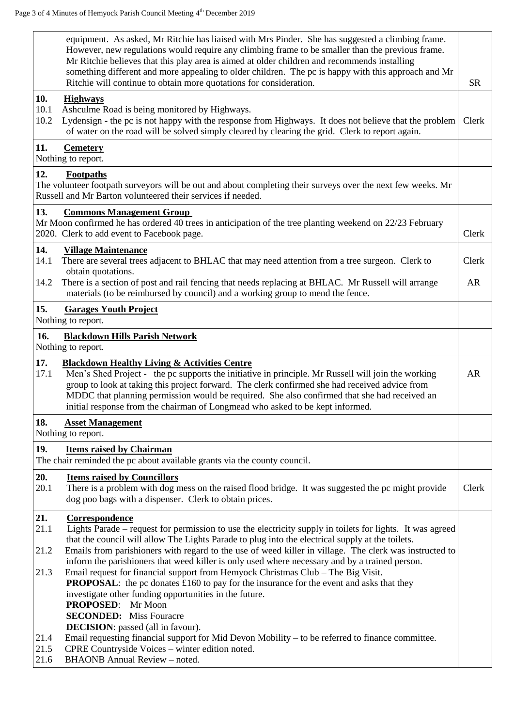|                      | equipment. As asked, Mr Ritchie has liaised with Mrs Pinder. She has suggested a climbing frame.<br>However, new regulations would require any climbing frame to be smaller than the previous frame.<br>Mr Ritchie believes that this play area is aimed at older children and recommends installing<br>something different and more appealing to older children. The pc is happy with this approach and Mr<br>Ritchie will continue to obtain more quotations for consideration. | <b>SR</b> |
|----------------------|-----------------------------------------------------------------------------------------------------------------------------------------------------------------------------------------------------------------------------------------------------------------------------------------------------------------------------------------------------------------------------------------------------------------------------------------------------------------------------------|-----------|
| 10.                  | <b>Highways</b>                                                                                                                                                                                                                                                                                                                                                                                                                                                                   |           |
| 10.1<br>10.2         | Ashculme Road is being monitored by Highways.<br>Lydensign - the pc is not happy with the response from Highways. It does not believe that the problem<br>of water on the road will be solved simply cleared by clearing the grid. Clerk to report again.                                                                                                                                                                                                                         | Clerk     |
| 11.                  | <b>Cemetery</b><br>Nothing to report.                                                                                                                                                                                                                                                                                                                                                                                                                                             |           |
| 12.                  | Footpaths<br>The volunteer footpath surveyors will be out and about completing their surveys over the next few weeks. Mr<br>Russell and Mr Barton volunteered their services if needed.                                                                                                                                                                                                                                                                                           |           |
| 13.                  | <b>Commons Management Group</b><br>Mr Moon confirmed he has ordered 40 trees in anticipation of the tree planting weekend on 22/23 February<br>2020. Clerk to add event to Facebook page.                                                                                                                                                                                                                                                                                         | Clerk     |
| 14.<br>14.1          | <b>Village Maintenance</b><br>There are several trees adjacent to BHLAC that may need attention from a tree surgeon. Clerk to                                                                                                                                                                                                                                                                                                                                                     | Clerk     |
| 14.2                 | obtain quotations.<br>There is a section of post and rail fencing that needs replacing at BHLAC. Mr Russell will arrange<br>materials (to be reimbursed by council) and a working group to mend the fence.                                                                                                                                                                                                                                                                        | <b>AR</b> |
| 15.                  | <b>Garages Youth Project</b><br>Nothing to report.                                                                                                                                                                                                                                                                                                                                                                                                                                |           |
| 16.                  | <b>Blackdown Hills Parish Network</b><br>Nothing to report.                                                                                                                                                                                                                                                                                                                                                                                                                       |           |
| 17.<br>17.1          | <b>Blackdown Healthy Living &amp; Activities Centre</b><br>Men's Shed Project - the pc supports the initiative in principle. Mr Russell will join the working<br>group to look at taking this project forward. The clerk confirmed she had received advice from<br>MDDC that planning permission would be required. She also confirmed that she had received an<br>initial response from the chairman of Longmead who asked to be kept informed.                                  | <b>AR</b> |
| 18.                  | <b>Asset Management</b>                                                                                                                                                                                                                                                                                                                                                                                                                                                           |           |
|                      | Nothing to report.                                                                                                                                                                                                                                                                                                                                                                                                                                                                |           |
| 19.                  | <b>Items raised by Chairman</b><br>The chair reminded the pc about available grants via the county council.                                                                                                                                                                                                                                                                                                                                                                       |           |
| 20.<br>20.1          | <b>Items raised by Councillors</b><br>There is a problem with dog mess on the raised flood bridge. It was suggested the pc might provide<br>dog poo bags with a dispenser. Clerk to obtain prices.                                                                                                                                                                                                                                                                                | Clerk     |
| 21.<br>21.1          | Correspondence<br>Lights Parade – request for permission to use the electricity supply in toilets for lights. It was agreed                                                                                                                                                                                                                                                                                                                                                       |           |
| 21.2                 | that the council will allow The Lights Parade to plug into the electrical supply at the toilets.<br>Emails from parishioners with regard to the use of weed killer in village. The clerk was instructed to                                                                                                                                                                                                                                                                        |           |
| 21.3                 | inform the parishioners that weed killer is only used where necessary and by a trained person.<br>Email request for financial support from Hemyock Christmas Club - The Big Visit.<br><b>PROPOSAL:</b> the pc donates £160 to pay for the insurance for the event and asks that they<br>investigate other funding opportunities in the future.<br>PROPOSED: Mr Moon                                                                                                               |           |
|                      | <b>SECONDED:</b> Miss Fouracre                                                                                                                                                                                                                                                                                                                                                                                                                                                    |           |
| 21.4<br>21.5<br>21.6 | <b>DECISION</b> : passed (all in favour).<br>Email requesting financial support for Mid Devon Mobility - to be referred to finance committee.<br>CPRE Countryside Voices - winter edition noted.<br><b>BHAONB</b> Annual Review – noted.                                                                                                                                                                                                                                          |           |